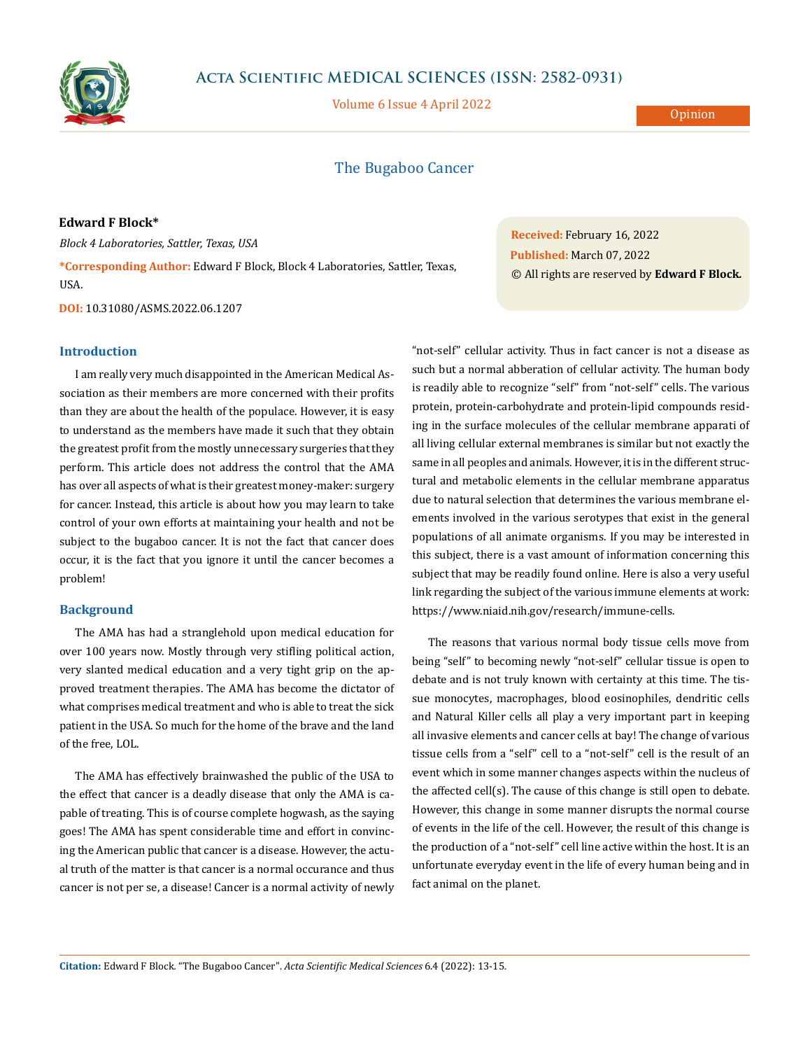

# **Acta Scientific MEDICAL SCIENCES (ISSN: 2582-0931)**

Volume 6 Issue 4 April 2022

**Opinion** 

## The Bugaboo Cancer

**Edward F Block\***

*Block 4 Laboratories, Sattler, Texas, USA* **\*Corresponding Author:** Edward F Block, Block 4 Laboratories, Sattler, Texas, USA.

**DOI:** [10.31080/ASMS.2022.06.1207](http://actascientific.com/ASMS/pdf/ASMS-06-1207.pdf)

## **Introduction**

I am really very much disappointed in the American Medical Association as their members are more concerned with their profits than they are about the health of the populace. However, it is easy to understand as the members have made it such that they obtain the greatest profit from the mostly unnecessary surgeries that they perform. This article does not address the control that the AMA has over all aspects of what is their greatest money-maker: surgery for cancer. Instead, this article is about how you may learn to take control of your own efforts at maintaining your health and not be subject to the bugaboo cancer. It is not the fact that cancer does occur, it is the fact that you ignore it until the cancer becomes a problem!

### **Background**

The AMA has had a stranglehold upon medical education for over 100 years now. Mostly through very stifling political action, very slanted medical education and a very tight grip on the approved treatment therapies. The AMA has become the dictator of what comprises medical treatment and who is able to treat the sick patient in the USA. So much for the home of the brave and the land of the free, LOL.

The AMA has effectively brainwashed the public of the USA to the effect that cancer is a deadly disease that only the AMA is capable of treating. This is of course complete hogwash, as the saying goes! The AMA has spent considerable time and effort in convincing the American public that cancer is a disease. However, the actual truth of the matter is that cancer is a normal occurance and thus cancer is not per se, a disease! Cancer is a normal activity of newly **Received:** February 16, 2022 **Published:** March 07, 2022 © All rights are reserved by **Edward F Block***.*

"not-self" cellular activity. Thus in fact cancer is not a disease as such but a normal abberation of cellular activity. The human body is readily able to recognize "self" from "not-self" cells. The various protein, protein-carbohydrate and protein-lipid compounds residing in the surface molecules of the cellular membrane apparati of all living cellular external membranes is similar but not exactly the same in all peoples and animals. However, it is in the different structural and metabolic elements in the cellular membrane apparatus due to natural selection that determines the various membrane elements involved in the various serotypes that exist in the general populations of all animate organisms. If you may be interested in this subject, there is a vast amount of information concerning this subject that may be readily found online. Here is also a very useful link regarding the subject of the various immune elements at work: [https://www.niaid.nih.gov/research/immune-cells.](https://www.niaid.nih.gov/research/immune-cells)

The reasons that various normal body tissue cells move from being "self" to becoming newly "not-self" cellular tissue is open to debate and is not truly known with certainty at this time. The tissue monocytes, macrophages, blood eosinophiles, dendritic cells and Natural Killer cells all play a very important part in keeping all invasive elements and cancer cells at bay! The change of various tissue cells from a "self" cell to a "not-self" cell is the result of an event which in some manner changes aspects within the nucleus of the affected cell(s). The cause of this change is still open to debate. However, this change in some manner disrupts the normal course of events in the life of the cell. However, the result of this change is the production of a "not-self" cell line active within the host. It is an unfortunate everyday event in the life of every human being and in fact animal on the planet.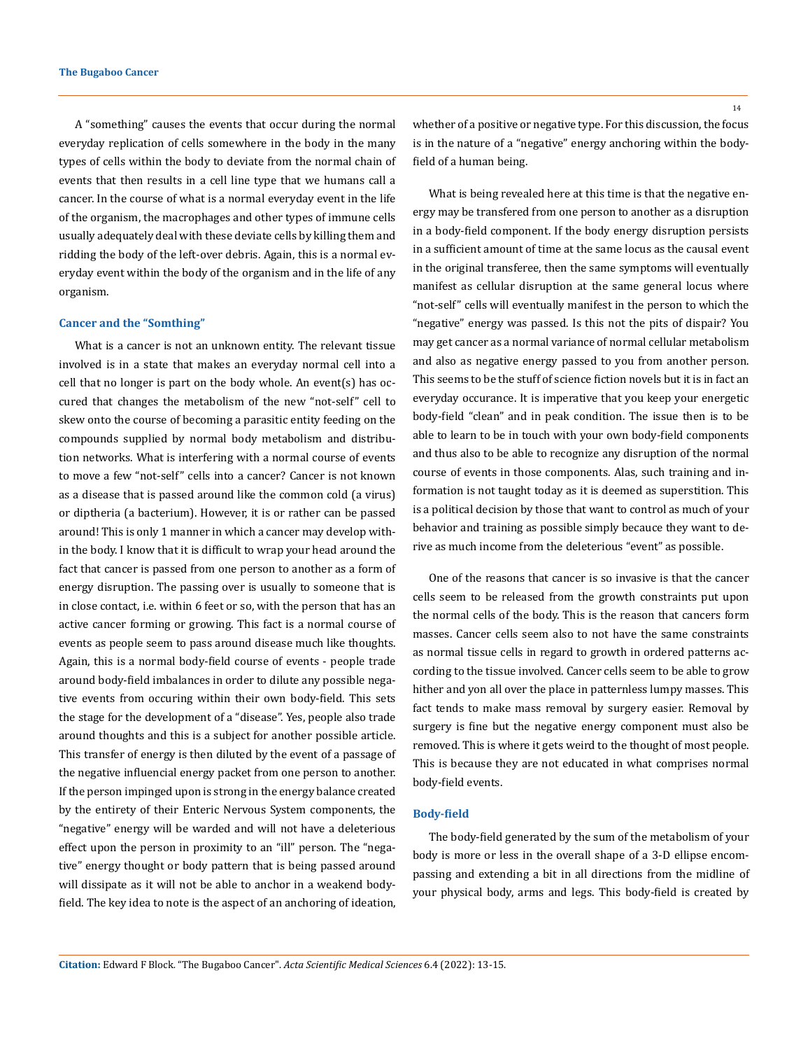A "something" causes the events that occur during the normal everyday replication of cells somewhere in the body in the many types of cells within the body to deviate from the normal chain of events that then results in a cell line type that we humans call a cancer. In the course of what is a normal everyday event in the life of the organism, the macrophages and other types of immune cells usually adequately deal with these deviate cells by killing them and ridding the body of the left-over debris. Again, this is a normal everyday event within the body of the organism and in the life of any organism.

#### **Cancer and the "Somthing"**

What is a cancer is not an unknown entity. The relevant tissue involved is in a state that makes an everyday normal cell into a cell that no longer is part on the body whole. An event(s) has occured that changes the metabolism of the new "not-self" cell to skew onto the course of becoming a parasitic entity feeding on the compounds supplied by normal body metabolism and distribution networks. What is interfering with a normal course of events to move a few "not-self" cells into a cancer? Cancer is not known as a disease that is passed around like the common cold (a virus) or diptheria (a bacterium). However, it is or rather can be passed around! This is only 1 manner in which a cancer may develop within the body. I know that it is difficult to wrap your head around the fact that cancer is passed from one person to another as a form of energy disruption. The passing over is usually to someone that is in close contact, i.e. within 6 feet or so, with the person that has an active cancer forming or growing. This fact is a normal course of events as people seem to pass around disease much like thoughts. Again, this is a normal body-field course of events - people trade around body-field imbalances in order to dilute any possible negative events from occuring within their own body-field. This sets the stage for the development of a "disease". Yes, people also trade around thoughts and this is a subject for another possible article. This transfer of energy is then diluted by the event of a passage of the negative influencial energy packet from one person to another. If the person impinged upon is strong in the energy balance created by the entirety of their Enteric Nervous System components, the "negative" energy will be warded and will not have a deleterious effect upon the person in proximity to an "ill" person. The "negative" energy thought or body pattern that is being passed around will dissipate as it will not be able to anchor in a weakend bodyfield. The key idea to note is the aspect of an anchoring of ideation,

whether of a positive or negative type. For this discussion, the focus is in the nature of a "negative" energy anchoring within the bodyfield of a human being.

What is being revealed here at this time is that the negative energy may be transfered from one person to another as a disruption in a body-field component. If the body energy disruption persists in a sufficient amount of time at the same locus as the causal event in the original transferee, then the same symptoms will eventually manifest as cellular disruption at the same general locus where "not-self" cells will eventually manifest in the person to which the "negative" energy was passed. Is this not the pits of dispair? You may get cancer as a normal variance of normal cellular metabolism and also as negative energy passed to you from another person. This seems to be the stuff of science fiction novels but it is in fact an everyday occurance. It is imperative that you keep your energetic body-field "clean" and in peak condition. The issue then is to be able to learn to be in touch with your own body-field components and thus also to be able to recognize any disruption of the normal course of events in those components. Alas, such training and information is not taught today as it is deemed as superstition. This is a political decision by those that want to control as much of your behavior and training as possible simply becauce they want to derive as much income from the deleterious "event" as possible.

One of the reasons that cancer is so invasive is that the cancer cells seem to be released from the growth constraints put upon the normal cells of the body. This is the reason that cancers form masses. Cancer cells seem also to not have the same constraints as normal tissue cells in regard to growth in ordered patterns according to the tissue involved. Cancer cells seem to be able to grow hither and yon all over the place in patternless lumpy masses. This fact tends to make mass removal by surgery easier. Removal by surgery is fine but the negative energy component must also be removed. This is where it gets weird to the thought of most people. This is because they are not educated in what comprises normal body-field events.

#### **Body-field**

The body-field generated by the sum of the metabolism of your body is more or less in the overall shape of a 3-D ellipse encompassing and extending a bit in all directions from the midline of your physical body, arms and legs. This body-field is created by